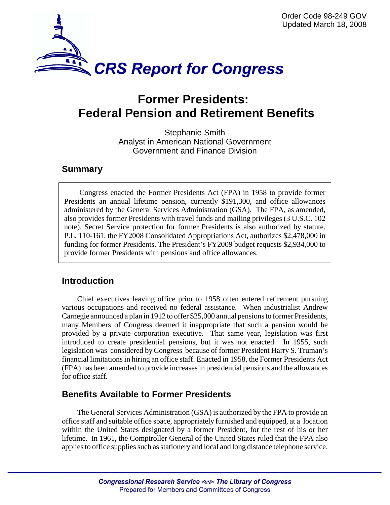

# **Former Presidents: Federal Pension and Retirement Benefits**

Stephanie Smith Analyst in American National Government Government and Finance Division

#### **Summary**

Congress enacted the Former Presidents Act (FPA) in 1958 to provide former Presidents an annual lifetime pension, currently \$191,300, and office allowances administered by the General Services Administration (GSA). The FPA, as amended, also provides former Presidents with travel funds and mailing privileges (3 U.S.C. 102 note). Secret Service protection for former Presidents is also authorized by statute. P.L. 110-161, the FY2008 Consolidated Appropriations Act, authorizes \$2,478,000 in funding for former Presidents. The President's FY2009 budget requests \$2,934,000 to provide former Presidents with pensions and office allowances.

## **Introduction**

Chief executives leaving office prior to 1958 often entered retirement pursuing various occupations and received no federal assistance. When industrialist Andrew Carnegie announced a plan in 1912 to offer \$25,000 annual pensions to former Presidents, many Members of Congress deemed it inappropriate that such a pension would be provided by a private corporation executive. That same year, legislation was first introduced to create presidential pensions, but it was not enacted. In 1955, such legislation was considered by Congress because of former President Harry S. Truman's financial limitations in hiring an office staff. Enacted in 1958, the Former Presidents Act (FPA) has been amended to provide increases in presidential pensions and the allowances for office staff.

## **Benefits Available to Former Presidents**

The General Services Administration (GSA) is authorized by the FPA to provide an office staff and suitable office space, appropriately furnished and equipped, at a location within the United States designated by a former President, for the rest of his or her lifetime. In 1961, the Comptroller General of the United States ruled that the FPA also applies to office supplies such as stationery and local and long distance telephone service.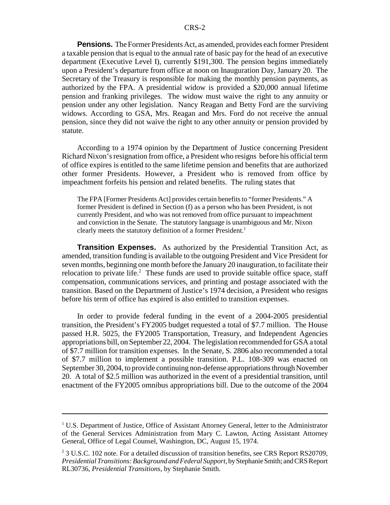**Pensions.** The Former Presidents Act, as amended, provides each former President a taxable pension that is equal to the annual rate of basic pay for the head of an executive department (Executive Level I), currently \$191,300. The pension begins immediately upon a President's departure from office at noon on Inauguration Day, January 20. The Secretary of the Treasury is responsible for making the monthly pension payments, as authorized by the FPA. A presidential widow is provided a \$20,000 annual lifetime pension and franking privileges. The widow must waive the right to any annuity or pension under any other legislation. Nancy Reagan and Betty Ford are the surviving widows. According to GSA, Mrs. Reagan and Mrs. Ford do not receive the annual pension, since they did not waive the right to any other annuity or pension provided by statute.

According to a 1974 opinion by the Department of Justice concerning President Richard Nixon's resignation from office, a President who resigns before his official term of office expires is entitled to the same lifetime pension and benefits that are authorized other former Presidents. However, a President who is removed from office by impeachment forfeits his pension and related benefits. The ruling states that

The FPA [Former Presidents Act] provides certain benefits to "former Presidents." A former President is defined in Section (f) as a person who has been President, is not currently President, and who was not removed from office pursuant to impeachment and conviction in the Senate. The statutory language is unambiguous and Mr. Nixon clearly meets the statutory definition of a former President.<sup>1</sup>

**Transition Expenses.** As authorized by the Presidential Transition Act, as amended, transition funding is available to the outgoing President and Vice President for seven months, beginning one month before the January 20 inauguration, to facilitate their relocation to private life.<sup>2</sup> These funds are used to provide suitable office space, staff compensation, communications services, and printing and postage associated with the transition. Based on the Department of Justice's 1974 decision, a President who resigns before his term of office has expired is also entitled to transition expenses.

In order to provide federal funding in the event of a 2004-2005 presidential transition, the President's FY2005 budget requested a total of \$7.7 million. The House passed H.R. 5025, the FY2005 Transportation, Treasury, and Independent Agencies appropriations bill, on September 22, 2004. The legislation recommended for GSA a total of \$7.7 million for transition expenses. In the Senate, S. 2806 also recommended a total of \$7.7 million to implement a possible transition. P.L. 108-309 was enacted on September 30, 2004, to provide continuing non-defense appropriations through November 20. A total of \$2.5 million was authorized in the event of a presidential transition, until enactment of the FY2005 omnibus appropriations bill. Due to the outcome of the 2004

<sup>&</sup>lt;sup>1</sup> U.S. Department of Justice, Office of Assistant Attorney General, letter to the Administrator of the General Services Administration from Mary C. Lawton, Acting Assistant Attorney General, Office of Legal Counsel, Washington, DC, August 15, 1974.

<sup>&</sup>lt;sup>2</sup> 3 U.S.C. 102 note. For a detailed discussion of transition benefits, see CRS Report RS20709, *Presidential Transitions: Background and Federal Support*, by Stephanie Smith; and CRS Report RL30736, *Presidential Transitions*, by Stephanie Smith.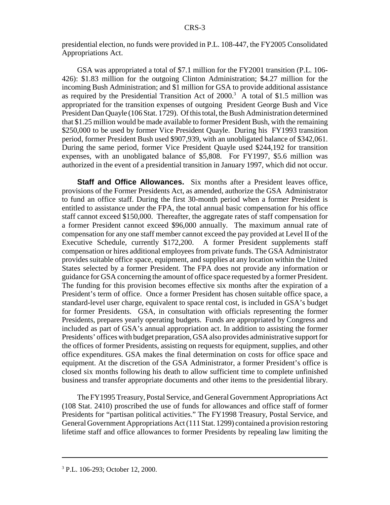presidential election, no funds were provided in P.L. 108-447, the FY2005 Consolidated Appropriations Act.

GSA was appropriated a total of \$7.1 million for the FY2001 transition (P.L. 106- 426): \$1.83 million for the outgoing Clinton Administration; \$4.27 million for the incoming Bush Administration; and \$1 million for GSA to provide additional assistance as required by the Presidential Transition Act of  $2000$ .<sup>3</sup> A total of \$1.5 million was appropriated for the transition expenses of outgoing President George Bush and Vice President Dan Quayle (106 Stat. 1729). Of this total, the Bush Administration determined that \$1.25 million would be made available to former President Bush, with the remaining \$250,000 to be used by former Vice President Quayle. During his FY1993 transition period, former President Bush used \$907,939, with an unobligated balance of \$342,061. During the same period, former Vice President Quayle used \$244,192 for transition expenses, with an unobligated balance of \$5,808. For FY1997, \$5.6 million was authorized in the event of a presidential transition in January 1997, which did not occur.

**Staff and Office Allowances.** Six months after a President leaves office, provisions of the Former Presidents Act, as amended, authorize the GSA Administrator to fund an office staff. During the first 30-month period when a former President is entitled to assistance under the FPA, the total annual basic compensation for his office staff cannot exceed \$150,000. Thereafter, the aggregate rates of staff compensation for a former President cannot exceed \$96,000 annually. The maximum annual rate of compensation for any one staff member cannot exceed the pay provided at Level II of the Executive Schedule, currently \$172,200. A former President supplements staff compensation or hires additional employees from private funds. The GSA Administrator provides suitable office space, equipment, and supplies at any location within the United States selected by a former President. The FPA does not provide any information or guidance for GSA concerning the amount of office space requested by a former President. The funding for this provision becomes effective six months after the expiration of a President's term of office. Once a former President has chosen suitable office space, a standard-level user charge, equivalent to space rental cost, is included in GSA's budget for former Presidents. GSA, in consultation with officials representing the former Presidents, prepares yearly operating budgets. Funds are appropriated by Congress and included as part of GSA's annual appropriation act. In addition to assisting the former Presidents' offices with budget preparation, GSA also provides administrative support for the offices of former Presidents, assisting on requests for equipment, supplies, and other office expenditures. GSA makes the final determination on costs for office space and equipment. At the discretion of the GSA Administrator, a former President's office is closed six months following his death to allow sufficient time to complete unfinished business and transfer appropriate documents and other items to the presidential library.

The FY1995 Treasury, Postal Service, and General Government Appropriations Act (108 Stat. 2410) proscribed the use of funds for allowances and office staff of former Presidents for "partisan political activities." The FY1998 Treasury, Postal Service, and General Government Appropriations Act (111 Stat. 1299) contained a provision restoring lifetime staff and office allowances to former Presidents by repealing law limiting the

<sup>3</sup> P.L. 106-293; October 12, 2000.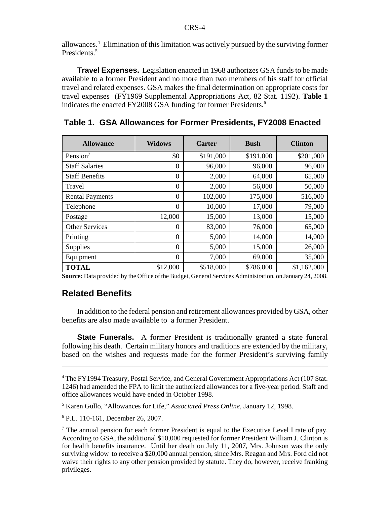allowances.4 Elimination of this limitation was actively pursued by the surviving former Presidents.<sup>5</sup>

**Travel Expenses.** Legislation enacted in 1968 authorizes GSA funds to be made available to a former President and no more than two members of his staff for official travel and related expenses. GSA makes the final determination on appropriate costs for travel expenses (FY1969 Supplemental Appropriations Act, 82 Stat. 1192). **Table 1** indicates the enacted FY2008 GSA funding for former Presidents.<sup>6</sup>

| <b>Allowance</b>       | <b>Widows</b>    | <b>Carter</b> | <b>Bush</b> | <b>Clinton</b> |
|------------------------|------------------|---------------|-------------|----------------|
| Pension <sup>7</sup>   | \$0              | \$191,000     | \$191,000   | \$201,000      |
| <b>Staff Salaries</b>  | $\theta$         | 96,000        | 96,000      | 96,000         |
| <b>Staff Benefits</b>  | $\boldsymbol{0}$ | 2,000         | 64,000      | 65,000         |
| Travel                 | $\theta$         | 2,000         | 56,000      | 50,000         |
| <b>Rental Payments</b> | $\overline{0}$   | 102,000       | 175,000     | 516,000        |
| Telephone              | $\Omega$         | 10,000        | 17,000      | 79,000         |
| Postage                | 12,000           | 15,000        | 13,000      | 15,000         |
| <b>Other Services</b>  | $\Omega$         | 83,000        | 76,000      | 65,000         |
| Printing               | $\theta$         | 5,000         | 14,000      | 14,000         |
| <b>Supplies</b>        | $\Omega$         | 5,000         | 15,000      | 26,000         |
| Equipment              | $\overline{0}$   | 7,000         | 69,000      | 35,000         |
| <b>TOTAL</b>           | \$12,000         | \$518,000     | \$786,000   | \$1,162,000    |

**Table 1. GSA Allowances for Former Presidents, FY2008 Enacted** 

**Source:** Data provided by the Office of the Budget, General Services Administration, on January 24, 2008.

#### **Related Benefits**

In addition to the federal pension and retirement allowances provided by GSA, other benefits are also made available to a former President.

**State Funerals.** A former President is traditionally granted a state funeral following his death. Certain military honors and traditions are extended by the military, based on the wishes and requests made for the former President's surviving family

5 Karen Gullo, "Allowances for Life," *Associated Press Online,* January 12, 1998.

6 P.L. 110-161, December 26, 2007.

<sup>&</sup>lt;sup>4</sup> The FY1994 Treasury, Postal Service, and General Government Appropriations Act (107 Stat. 1246) had amended the FPA to limit the authorized allowances for a five-year period. Staff and office allowances would have ended in October 1998.

 $<sup>7</sup>$  The annual pension for each former President is equal to the Executive Level I rate of pay.</sup> According to GSA, the additional \$10,000 requested for former President William J. Clinton is for health benefits insurance. Until her death on July 11, 2007, Mrs. Johnson was the only surviving widow to receive a \$20,000 annual pension, since Mrs. Reagan and Mrs. Ford did not waive their rights to any other pension provided by statute. They do, however, receive franking privileges.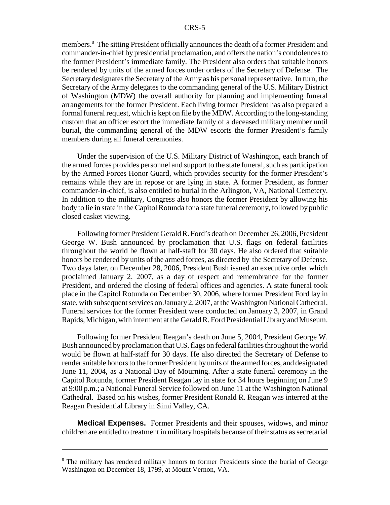members.<sup>8</sup> The sitting President officially announces the death of a former President and commander-in-chief by presidential proclamation, and offers the nation's condolences to the former President's immediate family. The President also orders that suitable honors be rendered by units of the armed forces under orders of the Secretary of Defense. The Secretary designates the Secretary of the Army as his personal representative. In turn, the Secretary of the Army delegates to the commanding general of the U.S. Military District of Washington (MDW) the overall authority for planning and implementing funeral arrangements for the former President. Each living former President has also prepared a formal funeral request, which is kept on file by the MDW. According to the long-standing custom that an officer escort the immediate family of a deceased military member until burial, the commanding general of the MDW escorts the former President's family members during all funeral ceremonies.

Under the supervision of the U.S. Military District of Washington, each branch of the armed forces provides personnel and support to the state funeral, such as participation by the Armed Forces Honor Guard, which provides security for the former President's remains while they are in repose or are lying in state. A former President, as former commander-in-chief, is also entitled to burial in the Arlington, VA, National Cemetery. In addition to the military, Congress also honors the former President by allowing his body to lie in state in the Capitol Rotunda for a state funeral ceremony, followed by public closed casket viewing.

Following former President Gerald R. Ford's death on December 26, 2006, President George W. Bush announced by proclamation that U.S. flags on federal facilities throughout the world be flown at half-staff for 30 days. He also ordered that suitable honors be rendered by units of the armed forces, as directed by the Secretary of Defense. Two days later, on December 28, 2006, President Bush issued an executive order which proclaimed January 2, 2007, as a day of respect and remembrance for the former President, and ordered the closing of federal offices and agencies. A state funeral took place in the Capitol Rotunda on December 30, 2006, where former President Ford lay in state, with subsequent services on January 2, 2007, at the Washington National Cathedral. Funeral services for the former President were conducted on January 3, 2007, in Grand Rapids, Michigan, with interment at the Gerald R. Ford Presidential Library and Museum.

Following former President Reagan's death on June 5, 2004, President George W. Bush announced by proclamation that U.S. flags on federal facilities throughout the world would be flown at half-staff for 30 days. He also directed the Secretary of Defense to render suitable honors to the former President by units of the armed forces, and designated June 11, 2004, as a National Day of Mourning. After a state funeral ceremony in the Capitol Rotunda, former President Reagan lay in state for 34 hours beginning on June 9 at 9:00 p.m.; a National Funeral Service followed on June 11 at the Washington National Cathedral. Based on his wishes, former President Ronald R. Reagan was interred at the Reagan Presidential Library in Simi Valley, CA.

**Medical Expenses.** Former Presidents and their spouses, widows, and minor children are entitled to treatment in military hospitals because of their status as secretarial

<sup>&</sup>lt;sup>8</sup> The military has rendered military honors to former Presidents since the burial of George Washington on December 18, 1799, at Mount Vernon, VA.